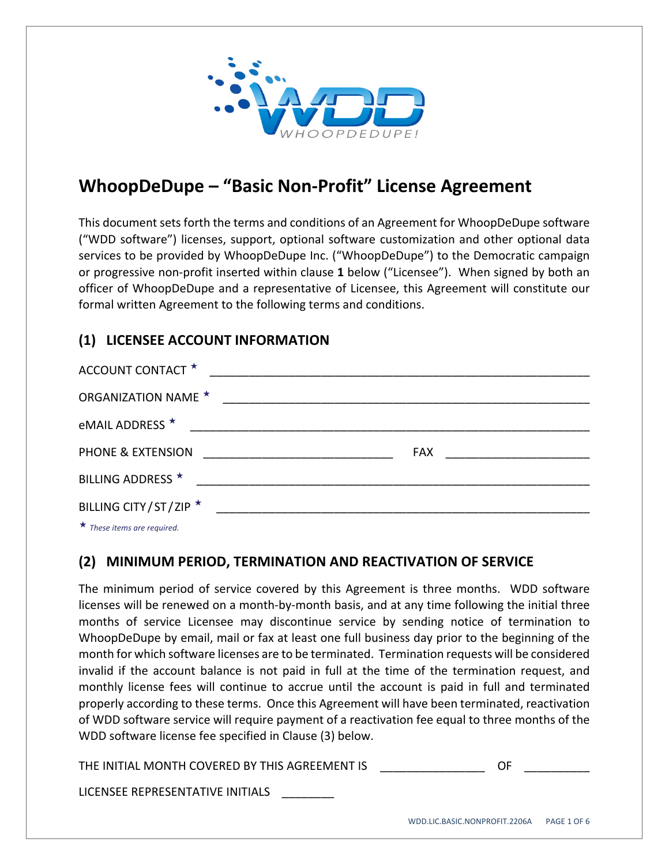

# **WhoopDeDupe – "Basic Non‐Profit" License Agreement**

This document sets forth the terms and conditions of an Agreement for WhoopDeDupe software ("WDD software") licenses, support, optional software customization and other optional data services to be provided by WhoopDeDupe Inc. ("WhoopDeDupe") to the Democratic campaign or progressive non‐profit inserted within clause **1** below ("Licensee"). When signed by both an officer of WhoopDeDupe and a representative of Licensee, this Agreement will constitute our formal written Agreement to the following terms and conditions.

# **(1) LICENSEE ACCOUNT INFORMATION**

| ACCOUNT CONTACT *                                                                                                                                                                                                                    |  |                                |
|--------------------------------------------------------------------------------------------------------------------------------------------------------------------------------------------------------------------------------------|--|--------------------------------|
| <b>ORGANIZATION NAME ★</b>                                                                                                                                                                                                           |  |                                |
| eMAIL ADDRESS <sup>★</sup>                                                                                                                                                                                                           |  |                                |
| PHONE & EXTENSION                                                                                                                                                                                                                    |  | FAX __________________________ |
| BILLING ADDRESS *                                                                                                                                                                                                                    |  |                                |
| BILLING CITY/ST/ZIP ★                                                                                                                                                                                                                |  |                                |
| $\mathbf{r}$ and $\mathbf{r}$ are all the set of the set of the set of the set of the set of the set of the set of the set of the set of the set of the set of the set of the set of the set of the set of the set of the set of the |  |                                |

*These items are required.*

#### **(2) MINIMUM PERIOD, TERMINATION AND REACTIVATION OF SERVICE**

The minimum period of service covered by this Agreement is three months. WDD software licenses will be renewed on a month‐by‐month basis, and at any time following the initial three months of service Licensee may discontinue service by sending notice of termination to WhoopDeDupe by email, mail or fax at least one full business day prior to the beginning of the month for which software licenses are to be terminated. Termination requests will be considered invalid if the account balance is not paid in full at the time of the termination request, and monthly license fees will continue to accrue until the account is paid in full and terminated properly according to these terms. Once this Agreement will have been terminated, reactivation of WDD software service will require payment of a reactivation fee equal to three months of the WDD software license fee specified in Clause (3) below.

THE INITIAL MONTH COVERED BY THIS AGREEMENT IS **THE SAME OF SAMPLE IN** 

LICENSEE REPRESENTATIVE INITIALS \_\_\_\_\_\_\_\_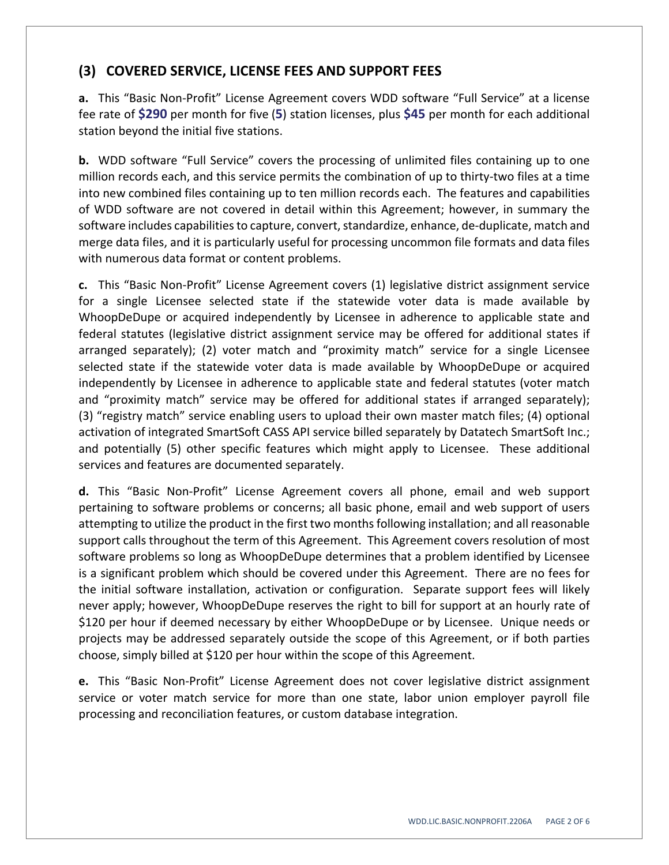## **(3) COVERED SERVICE, LICENSE FEES AND SUPPORT FEES**

**a.** This "Basic Non‐Profit" License Agreement covers WDD software "Full Service" at a license fee rate of **\$290** per month for five (**5**) station licenses, plus **\$45** per month for each additional station beyond the initial five stations.

**b.** WDD software "Full Service" covers the processing of unlimited files containing up to one million records each, and this service permits the combination of up to thirty-two files at a time into new combined files containing up to ten million records each. The features and capabilities of WDD software are not covered in detail within this Agreement; however, in summary the software includes capabilities to capture, convert, standardize, enhance, de-duplicate, match and merge data files, and it is particularly useful for processing uncommon file formats and data files with numerous data format or content problems.

**c.** This "Basic Non‐Profit" License Agreement covers (1) legislative district assignment service for a single Licensee selected state if the statewide voter data is made available by WhoopDeDupe or acquired independently by Licensee in adherence to applicable state and federal statutes (legislative district assignment service may be offered for additional states if arranged separately); (2) voter match and "proximity match" service for a single Licensee selected state if the statewide voter data is made available by WhoopDeDupe or acquired independently by Licensee in adherence to applicable state and federal statutes (voter match and "proximity match" service may be offered for additional states if arranged separately); (3) "registry match" service enabling users to upload their own master match files; (4) optional activation of integrated SmartSoft CASS API service billed separately by Datatech SmartSoft Inc.; and potentially (5) other specific features which might apply to Licensee. These additional services and features are documented separately.

**d.** This "Basic Non‐Profit" License Agreement covers all phone, email and web support pertaining to software problems or concerns; all basic phone, email and web support of users attempting to utilize the product in the first two monthsfollowing installation; and all reasonable support calls throughout the term of this Agreement. This Agreement covers resolution of most software problems so long as WhoopDeDupe determines that a problem identified by Licensee is a significant problem which should be covered under this Agreement. There are no fees for the initial software installation, activation or configuration. Separate support fees will likely never apply; however, WhoopDeDupe reserves the right to bill for support at an hourly rate of \$120 per hour if deemed necessary by either WhoopDeDupe or by Licensee. Unique needs or projects may be addressed separately outside the scope of this Agreement, or if both parties choose, simply billed at \$120 per hour within the scope of this Agreement.

**e.** This "Basic Non‐Profit" License Agreement does not cover legislative district assignment service or voter match service for more than one state, labor union employer payroll file processing and reconciliation features, or custom database integration.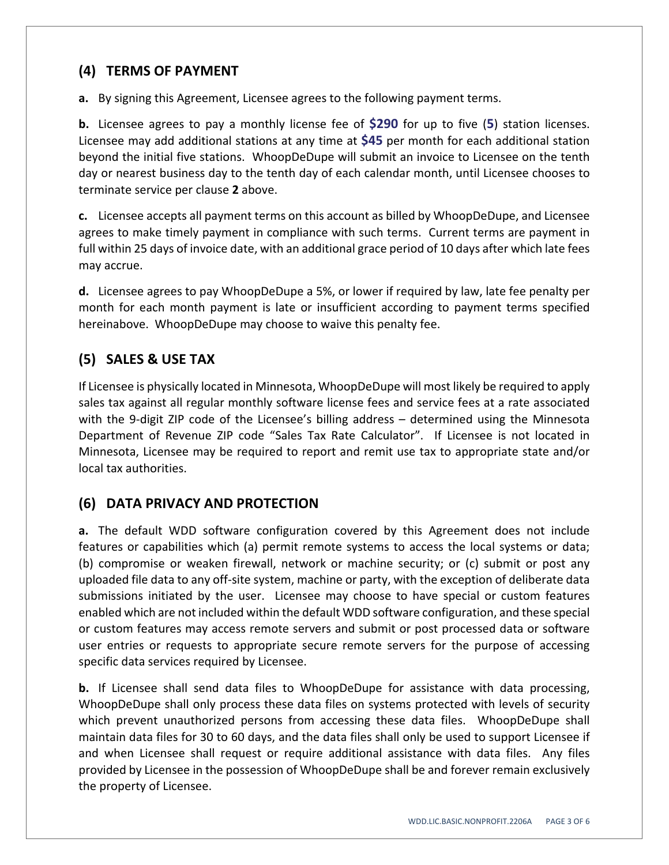#### **(4) TERMS OF PAYMENT**

**a.** By signing this Agreement, Licensee agrees to the following payment terms.

**b.** Licensee agrees to pay a monthly license fee of **\$290** for up to five (**5**) station licenses. Licensee may add additional stations at any time at **\$45** per month for each additional station beyond the initial five stations. WhoopDeDupe will submit an invoice to Licensee on the tenth day or nearest business day to the tenth day of each calendar month, until Licensee chooses to terminate service per clause **2** above.

**c.** Licensee accepts all payment terms on this account as billed by WhoopDeDupe, and Licensee agrees to make timely payment in compliance with such terms. Current terms are payment in full within 25 days of invoice date, with an additional grace period of 10 days after which late fees may accrue.

**d.** Licensee agrees to pay WhoopDeDupe a 5%, or lower if required by law, late fee penalty per month for each month payment is late or insufficient according to payment terms specified hereinabove. WhoopDeDupe may choose to waive this penalty fee.

# **(5) SALES & USE TAX**

If Licensee is physically located in Minnesota, WhoopDeDupe will most likely be required to apply sales tax against all regular monthly software license fees and service fees at a rate associated with the 9-digit ZIP code of the Licensee's billing address – determined using the Minnesota Department of Revenue ZIP code "Sales Tax Rate Calculator". If Licensee is not located in Minnesota, Licensee may be required to report and remit use tax to appropriate state and/or local tax authorities.

## **(6) DATA PRIVACY AND PROTECTION**

**a.** The default WDD software configuration covered by this Agreement does not include features or capabilities which (a) permit remote systems to access the local systems or data; (b) compromise or weaken firewall, network or machine security; or (c) submit or post any uploaded file data to any off‐site system, machine or party, with the exception of deliberate data submissions initiated by the user. Licensee may choose to have special or custom features enabled which are not included within the default WDD software configuration, and these special or custom features may access remote servers and submit or post processed data or software user entries or requests to appropriate secure remote servers for the purpose of accessing specific data services required by Licensee.

**b.** If Licensee shall send data files to WhoopDeDupe for assistance with data processing, WhoopDeDupe shall only process these data files on systems protected with levels of security which prevent unauthorized persons from accessing these data files. WhoopDeDupe shall maintain data files for 30 to 60 days, and the data files shall only be used to support Licensee if and when Licensee shall request or require additional assistance with data files. Any files provided by Licensee in the possession of WhoopDeDupe shall be and forever remain exclusively the property of Licensee.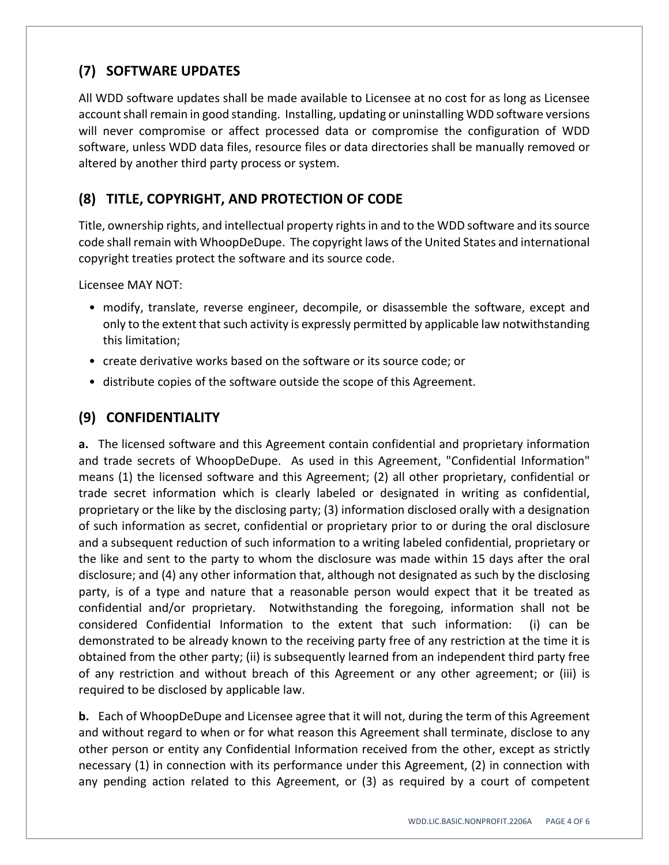# **(7) SOFTWARE UPDATES**

All WDD software updates shall be made available to Licensee at no cost for as long as Licensee account shall remain in good standing. Installing, updating or uninstalling WDD software versions will never compromise or affect processed data or compromise the configuration of WDD software, unless WDD data files, resource files or data directories shall be manually removed or altered by another third party process or system.

## **(8) TITLE, COPYRIGHT, AND PROTECTION OF CODE**

Title, ownership rights, and intellectual property rightsin and to the WDD software and itssource code shall remain with WhoopDeDupe. The copyright laws of the United States and international copyright treaties protect the software and its source code.

Licensee MAY NOT:

- modify, translate, reverse engineer, decompile, or disassemble the software, except and only to the extent that such activity is expressly permitted by applicable law notwithstanding this limitation;
- create derivative works based on the software or its source code; or
- distribute copies of the software outside the scope of this Agreement.

#### **(9) CONFIDENTIALITY**

**a.** The licensed software and this Agreement contain confidential and proprietary information and trade secrets of WhoopDeDupe. As used in this Agreement, "Confidential Information" means (1) the licensed software and this Agreement; (2) all other proprietary, confidential or trade secret information which is clearly labeled or designated in writing as confidential, proprietary or the like by the disclosing party; (3) information disclosed orally with a designation of such information as secret, confidential or proprietary prior to or during the oral disclosure and a subsequent reduction of such information to a writing labeled confidential, proprietary or the like and sent to the party to whom the disclosure was made within 15 days after the oral disclosure; and (4) any other information that, although not designated as such by the disclosing party, is of a type and nature that a reasonable person would expect that it be treated as confidential and/or proprietary. Notwithstanding the foregoing, information shall not be considered Confidential Information to the extent that such information: (i) can be demonstrated to be already known to the receiving party free of any restriction at the time it is obtained from the other party; (ii) is subsequently learned from an independent third party free of any restriction and without breach of this Agreement or any other agreement; or (iii) is required to be disclosed by applicable law.

**b.** Each of WhoopDeDupe and Licensee agree that it will not, during the term of this Agreement and without regard to when or for what reason this Agreement shall terminate, disclose to any other person or entity any Confidential Information received from the other, except as strictly necessary (1) in connection with its performance under this Agreement, (2) in connection with any pending action related to this Agreement, or (3) as required by a court of competent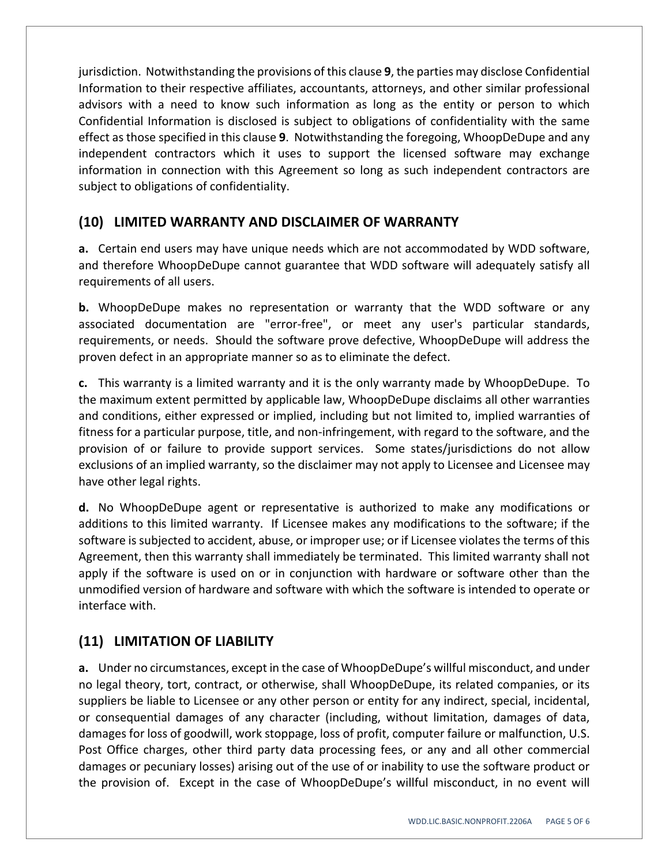jurisdiction. Notwithstanding the provisions of this clause **9**, the parties may disclose Confidential Information to their respective affiliates, accountants, attorneys, and other similar professional advisors with a need to know such information as long as the entity or person to which Confidential Information is disclosed is subject to obligations of confidentiality with the same effect asthose specified in this clause **9**. Notwithstanding the foregoing, WhoopDeDupe and any independent contractors which it uses to support the licensed software may exchange information in connection with this Agreement so long as such independent contractors are subject to obligations of confidentiality.

#### **(10) LIMITED WARRANTY AND DISCLAIMER OF WARRANTY**

**a.** Certain end users may have unique needs which are not accommodated by WDD software, and therefore WhoopDeDupe cannot guarantee that WDD software will adequately satisfy all requirements of all users.

**b.** WhoopDeDupe makes no representation or warranty that the WDD software or any associated documentation are "error-free", or meet any user's particular standards, requirements, or needs. Should the software prove defective, WhoopDeDupe will address the proven defect in an appropriate manner so as to eliminate the defect.

**c.** This warranty is a limited warranty and it is the only warranty made by WhoopDeDupe. To the maximum extent permitted by applicable law, WhoopDeDupe disclaims all other warranties and conditions, either expressed or implied, including but not limited to, implied warranties of fitness for a particular purpose, title, and non‐infringement, with regard to the software, and the provision of or failure to provide support services. Some states/jurisdictions do not allow exclusions of an implied warranty, so the disclaimer may not apply to Licensee and Licensee may have other legal rights.

**d.** No WhoopDeDupe agent or representative is authorized to make any modifications or additions to this limited warranty. If Licensee makes any modifications to the software; if the software is subjected to accident, abuse, or improper use; or if Licensee violates the terms of this Agreement, then this warranty shall immediately be terminated. This limited warranty shall not apply if the software is used on or in conjunction with hardware or software other than the unmodified version of hardware and software with which the software is intended to operate or interface with.

## **(11) LIMITATION OF LIABILITY**

**a.** Under no circumstances, except in the case of WhoopDeDupe's willful misconduct, and under no legal theory, tort, contract, or otherwise, shall WhoopDeDupe, its related companies, or its suppliers be liable to Licensee or any other person or entity for any indirect, special, incidental, or consequential damages of any character (including, without limitation, damages of data, damages for loss of goodwill, work stoppage, loss of profit, computer failure or malfunction, U.S. Post Office charges, other third party data processing fees, or any and all other commercial damages or pecuniary losses) arising out of the use of or inability to use the software product or the provision of. Except in the case of WhoopDeDupe's willful misconduct, in no event will